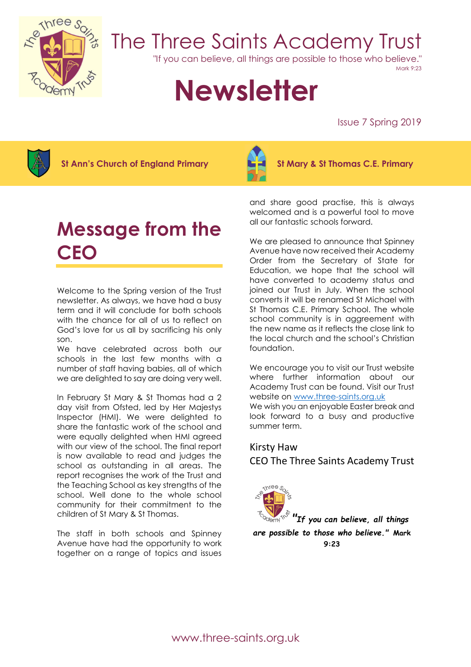

## The Three Saints Academy Trust

"If you can believe, all things are possible to those who believe."

Mark 9:23

# **Newsletter**

Issue 7 Spring 2019



St Ann's Church of England Primary  $\mathbb{R}$   $\mathbb{R}$  St Mary & St Thomas C.E. Primary



## Message from the **CEO**

Welcome to the Spring version of the Trust newsletter. As always, we have had a busy term and it will conclude for both schools with the chance for all of us to reflect on God's love for us all by sacrificing his only son.

We have celebrated across both our schools in the last few months with a number of staff having babies, all of which we are delighted to say are doing very well.

In February St Mary & St Thomas had a 2 day visit from Ofsted, led by Her Majestys Inspector (HMI). We were delighted to share the fantastic work of the school and were equally delighted when HMI agreed with our view of the school. The final report is now available to read and judges the school as outstanding in all areas. The report recognises the work of the Trust and the Teaching School as key strengths of the school. Well done to the whole school community for their commitment to the children of St Mary & St Thomas.

The staff in both schools and Spinney Avenue have had the opportunity to work together on a range of topics and issues

and share good practise, this is always welcomed and is a powerful tool to move all our fantastic schools forward.

We are pleased to announce that Spinney Avenue have now received their Academy Order from the Secretary of State for Education, we hope that the school will have converted to academy status and joined our Trust in July. When the school converts it will be renamed St Michael with St Thomas C.E. Primary School. The whole school community is in aggreement with the new name as it reflects the close link to the local church and the school's Christian foundation.

We encourage you to visit our Trust website where further information about our Academy Trust can be found. Visit our Trust website on www.three-saints.org.uk We wish you an enjoyable Easter break and look forward to a busy and productive summer term.

## Kirsty Haw CEO The Three Saints Academy Trust



"If you can believe, all things are possible to those who believe." Mark 9:23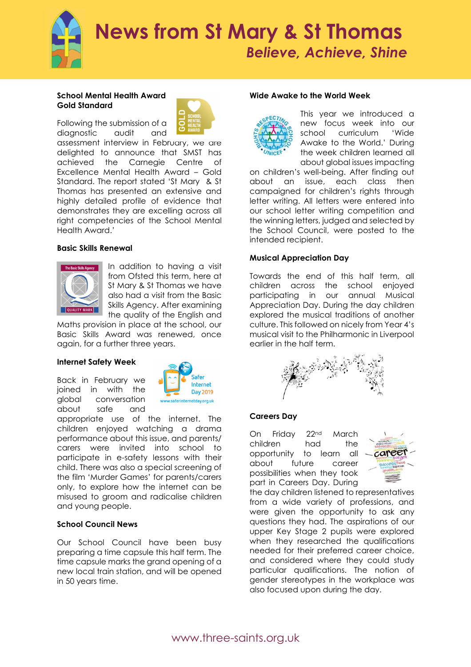

#### School Mental Health Award Gold Standard

Following the submission of a diagnostic audit and



assessment interview in February, we are delighted to announce that SMST has achieved the Carnegie Centre of Excellence Mental Health Award – Gold Standard. The report stated 'St Mary & St Thomas has presented an extensive and highly detailed profile of evidence that demonstrates they are excelling across all right competencies of the School Mental Health Award.'

#### Basic Skills Renewal



In addition to having a visit from Ofsted this term, here at St Mary & St Thomas we have also had a visit from the Basic Skills Agency. After examining the quality of the English and

Maths provision in place at the school, our Basic Skills Award was renewed, once again, for a further three years.

#### Internet Safety Week

Back in February we joined in with the global conversation about safe and



appropriate use of the internet. The children enjoyed watching a drama performance about this issue, and parents/ carers were invited into school to participate in e-safety lessons with their child. There was also a special screening of the film 'Murder Games' for parents/carers only, to explore how the internet can be misused to groom and radicalise children and young people.

#### School Council News

Our School Council have been busy preparing a time capsule this half term. The time capsule marks the grand opening of a new local train station, and will be opened in 50 years time.

#### Wide Awake to the World Week



This year we introduced a new focus week into our school curriculum 'Wide Awake to the World.' During the week children learned all about global issues impacting

on children's well-being. After finding out about an issue, each class then campaigned for children's rights through letter writing. All letters were entered into our school letter writing competition and the winning letters, judged and selected by the School Council, were posted to the intended recipient.

#### Musical Appreciation Day

Towards the end of this half term, all children across the school enjoyed participating in our annual Musical Appreciation Day. During the day children explored the musical traditions of another culture. This followed on nicely from Year 4's musical visit to the Philharmonic in Liverpool earlier in the half term.



#### Careers Day

On Friday 22nd March children had the opportunity to learn all about future career possibilities when they took part in Careers Day. During



the day children listened to representatives from a wide variety of professions, and were given the opportunity to ask any questions they had. The aspirations of our upper Key Stage 2 pupils were explored when they researched the qualifications needed for their preferred career choice, and considered where they could study particular qualifications. The notion of gender stereotypes in the workplace was also focused upon during the day.